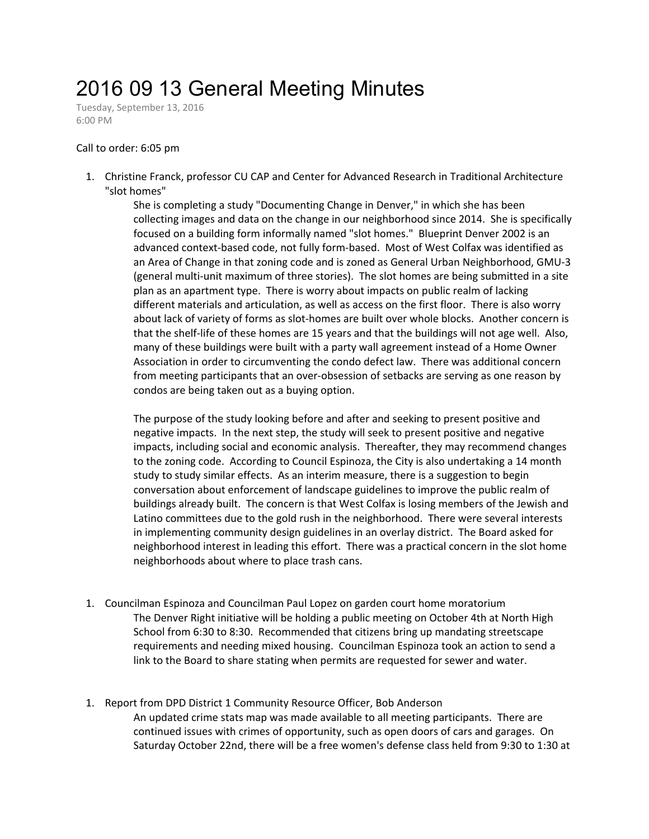## 2016 09 13 General Meeting Minutes

Tuesday, September 13, 2016 6:00 PM

## Call to order: 6:05 pm

1. Christine Franck, professor CU CAP and Center for Advanced Research in Traditional Architecture "slot homes"

> She is completing a study "Documenting Change in Denver," in which she has been collecting images and data on the change in our neighborhood since 2014. She is specifically focused on a building form informally named "slot homes." Blueprint Denver 2002 is an advanced context-based code, not fully form-based. Most of West Colfax was identified as an Area of Change in that zoning code and is zoned as General Urban Neighborhood, GMU-3 (general multi-unit maximum of three stories). The slot homes are being submitted in a site plan as an apartment type. There is worry about impacts on public realm of lacking different materials and articulation, as well as access on the first floor. There is also worry about lack of variety of forms as slot-homes are built over whole blocks. Another concern is that the shelf-life of these homes are 15 years and that the buildings will not age well. Also, many of these buildings were built with a party wall agreement instead of a Home Owner Association in order to circumventing the condo defect law. There was additional concern from meeting participants that an over-obsession of setbacks are serving as one reason by condos are being taken out as a buying option.

> The purpose of the study looking before and after and seeking to present positive and negative impacts. In the next step, the study will seek to present positive and negative impacts, including social and economic analysis. Thereafter, they may recommend changes to the zoning code. According to Council Espinoza, the City is also undertaking a 14 month study to study similar effects. As an interim measure, there is a suggestion to begin conversation about enforcement of landscape guidelines to improve the public realm of buildings already built. The concern is that West Colfax is losing members of the Jewish and Latino committees due to the gold rush in the neighborhood. There were several interests in implementing community design guidelines in an overlay district. The Board asked for neighborhood interest in leading this effort. There was a practical concern in the slot home neighborhoods about where to place trash cans.

- 1. Councilman Espinoza and Councilman Paul Lopez on garden court home moratorium The Denver Right initiative will be holding a public meeting on October 4th at North High School from 6:30 to 8:30. Recommended that citizens bring up mandating streetscape requirements and needing mixed housing. Councilman Espinoza took an action to send a link to the Board to share stating when permits are requested for sewer and water.
- 1. Report from DPD District 1 Community Resource Officer, Bob Anderson An updated crime stats map was made available to all meeting participants. There are continued issues with crimes of opportunity, such as open doors of cars and garages. On Saturday October 22nd, there will be a free women's defense class held from 9:30 to 1:30 at